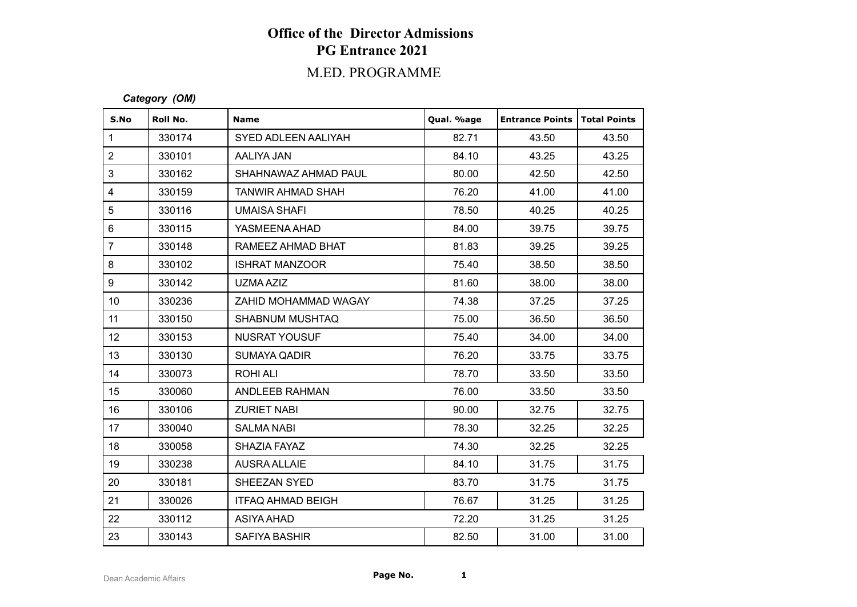# **Office of the Director Admissions PG Entrance 2021**

### M.ED. PROGRAMME

#### *Category (OM)*

| S.No                    | Roll No. | <b>Name</b>              | Qual. %age | <b>Entrance Points</b> | Total Points |
|-------------------------|----------|--------------------------|------------|------------------------|--------------|
| $\mathbf{1}$            | 330174   | SYED ADLEEN AALIYAH      | 82.71      | 43.50                  | 43.50        |
| $\overline{2}$          | 330101   | AALIYA JAN               | 84.10      | 43.25                  | 43.25        |
| 3                       | 330162   | SHAHNAWAZ AHMAD PAUL     | 80.00      | 42.50                  | 42.50        |
| $\overline{\mathbf{4}}$ | 330159   | <b>TANWIR AHMAD SHAH</b> | 76.20      | 41.00                  | 41.00        |
| 5                       | 330116   | UMAISA SHAFI             | 78.50      | 40.25                  | 40.25        |
| $\,6\,$                 | 330115   | YASMEENA AHAD            | 84.00      | 39.75                  | 39.75        |
| $\overline{7}$          | 330148   | RAMEEZ AHMAD BHAT        | 81.83      | 39.25                  | 39.25        |
| 8                       | 330102   | <b>ISHRAT MANZOOR</b>    | 75.40      | 38.50                  | 38.50        |
| 9                       | 330142   | UZMA AZIZ                | 81.60      | 38.00                  | 38.00        |
| 10 <sup>°</sup>         | 330236   | ZAHID MOHAMMAD WAGAY     | 74.38      | 37.25                  | 37.25        |
| 11                      | 330150   | SHABNUM MUSHTAQ          | 75.00      | 36.50                  | 36.50        |
| 12                      | 330153   | NUSRAT YOUSUF            | 75.40      | 34.00                  | 34.00        |
| 13                      | 330130   | <b>SUMAYA QADIR</b>      | 76.20      | 33.75                  | 33.75        |
| 14                      | 330073   | <b>ROHI ALI</b>          | 78.70      | 33.50                  | 33.50        |
| 15                      | 330060   | ANDLEEB RAHMAN           | 76.00      | 33.50                  | 33.50        |
| 16                      | 330106   | <b>ZURIET NABI</b>       | 90.00      | 32.75                  | 32.75        |
| 17                      | 330040   | <b>SALMA NABI</b>        | 78.30      | 32.25                  | 32.25        |
| 18                      | 330058   | SHAZIA FAYAZ             | 74.30      | 32.25                  | 32.25        |
| 19                      | 330238   | <b>AUSRA ALLAIE</b>      | 84.10      | 31.75                  | 31.75        |
| 20                      | 330181   | SHEEZAN SYED             | 83.70      | 31.75                  | 31.75        |
| 21                      | 330026   | <b>ITFAQ AHMAD BEIGH</b> | 76.67      | 31.25                  | 31.25        |
| 22                      | 330112   | <b>ASIYA AHAD</b>        | 72.20      | 31.25                  | 31.25        |
| 23                      | 330143   | <b>SAFIYA BASHIR</b>     | 82.50      | 31.00                  | 31.00        |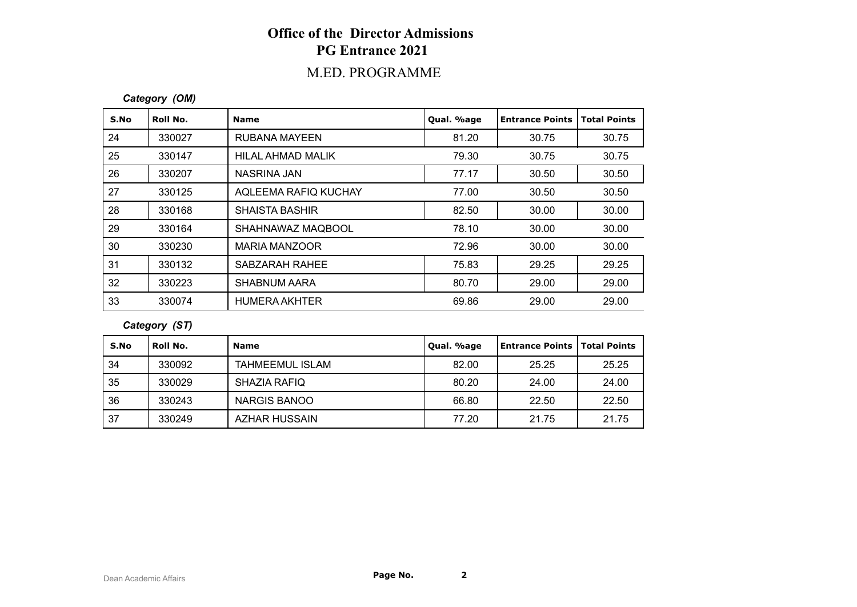# **Office of the Director Admissions PG Entrance 2021**

## M.ED. PROGRAMME

#### *Category (OM)*

| S.No | Roll No. | <b>Name</b>           | Qual. %age | <b>Entrance Points</b> | <b>Total Points</b> |
|------|----------|-----------------------|------------|------------------------|---------------------|
| 24   | 330027   | RUBANA MAYEEN         | 81.20      | 30.75                  | 30.75               |
| 25   | 330147   | HILAL AHMAD MALIK     | 79.30      | 30.75                  | 30.75               |
| 26   | 330207   | NASRINA JAN           | 77.17      | 30.50                  | 30.50               |
| 27   | 330125   | AQLEEMA RAFIQ KUCHAY  | 77.00      | 30.50                  | 30.50               |
| 28   | 330168   | <b>SHAISTA BASHIR</b> | 82.50      | 30.00                  | 30.00               |
| 29   | 330164   | SHAHNAWAZ MAQBOOL     | 78.10      | 30.00                  | 30.00               |
| 30   | 330230   | <b>MARIA MANZOOR</b>  | 72.96      | 30.00                  | 30.00               |
| 31   | 330132   | SABZARAH RAHEE        | 75.83      | 29.25                  | 29.25               |
| 32   | 330223   | <b>SHABNUM AARA</b>   | 80.70      | 29.00                  | 29.00               |
| 33   | 330074   | <b>HUMERA AKHTER</b>  | 69.86      | 29.00                  | 29.00               |

*Category (ST)*

| S.No | Roll No. | <b>Name</b>            | Qual. %age | Entrance Points   Total Points |       |
|------|----------|------------------------|------------|--------------------------------|-------|
| 34   | 330092   | <b>TAHMEEMUL ISLAM</b> | 82.00      | 25.25                          | 25.25 |
| 35   | 330029   | SHAZIA RAFIQ           | 80.20      | 24.00                          | 24.00 |
| 36   | 330243   | NARGIS BANOO           | 66.80      | 22.50                          | 22.50 |
| 37   | 330249   | <b>AZHAR HUSSAIN</b>   | 77.20      | 21.75                          | 21.75 |